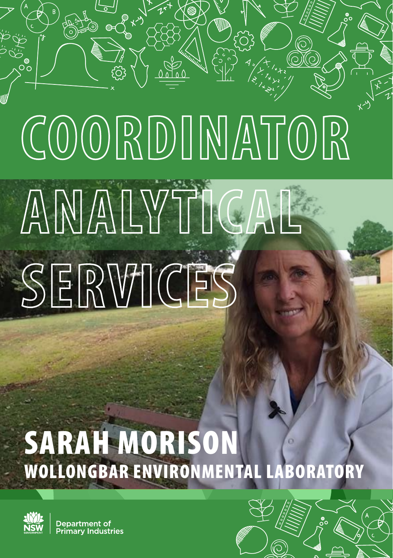# **COORDINATOR**

## **ANALYTICAL SERVICES**

### SARAH MORISON WOLLONGBAR ENVIRONMENTAL LABORATORY



ெ

Department of nary Industries

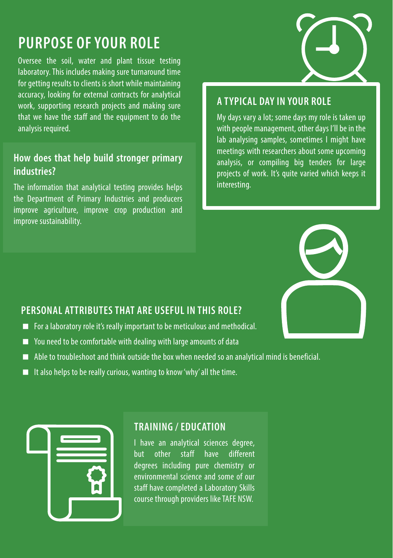### **PURPOSE OF YOUR ROLE**

Oversee the soil, water and plant tissue testing laboratory. This includes making sure turnaround time for getting results to clients is short while maintaining accuracy, looking for external contracts for analytical work, supporting research projects and making sure that we have the staff and the equipment to do the analysis required.

#### **How does that help build stronger primary industries?**

The information that analytical testing provides helps the Department of Primary Industries and producers improve agriculture, improve crop production and improve sustainability.



#### **A TYPICAL DAY IN YOUR ROLE**

My days vary a lot; some days my role is taken up with people management, other days I'll be in the lab analysing samples, sometimes I might have meetings with researchers about some upcoming analysis, or compiling big tenders for large projects of work. It's quite varied which keeps it interesting.



#### **PERSONAL ATTRIBUTES THAT ARE USEFUL IN THIS ROLE?**

- For a laboratory role it's really important to be meticulous and methodical.
- You need to be comfortable with dealing with large amounts of data
- Able to troubleshoot and think outside the box when needed so an analytical mind is beneficial.
- $\blacksquare$  It also helps to be really curious, wanting to know 'why' all the time.



#### **TRAINING / EDUCATION**

I have an analytical sciences degree, but other staff have different degrees including pure chemistry or environmental science and some of our staff have completed a Laboratory Skills course through providers like TAFE NSW.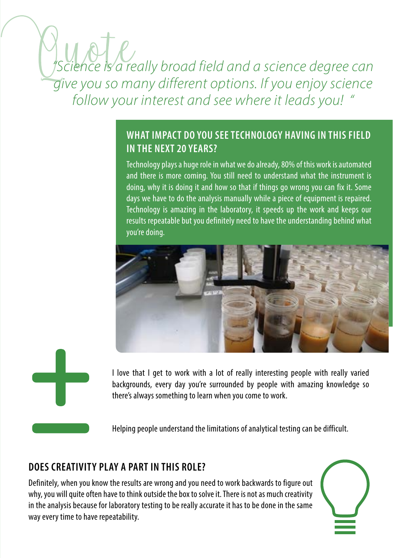### ience is a really broad field and a science degree can *give you so many different options. If you enjoy science follow your interest and see where it leads you! "*

#### **WHAT IMPACT DO YOU SEE TECHNOLOGY HAVING IN THIS FIELD IN THE NEXT 20 YEARS?**

Technology plays a huge role in what we do already, 80% of this work is automated and there is more coming. You still need to understand what the instrument is doing, why it is doing it and how so that if things go wrong you can fix it. Some days we have to do the analysis manually while a piece of equipment is repaired. Technology is amazing in the laboratory, it speeds up the work and keeps our results repeatable but you definitely need to have the understanding behind what you're doing.





I love that I get to work with a lot of really interesting people with really varied backgrounds, every day you're surrounded by people with amazing knowledge so there's always something to learn when you come to work.

Helping people understand the limitations of analytical testing can be difficult.

#### **DOES CREATIVITY PLAY A PART IN THIS ROLE?**

Definitely, when you know the results are wrong and you need to work backwards to figure out why, you will quite often have to think outside the box to solve it. There is not as much creativity in the analysis because for laboratory testing to be really accurate it has to be done in the same way every time to have repeatability.